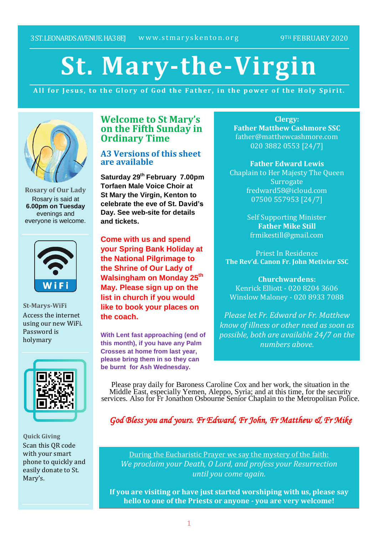# **St. Mary-the-Virgin**

All for Jesus, to the Glory of God the Father, in the power of the Holy Spirit.



**Rosary of Our Lady** Rosary is said at **6.00pm on Tuesday** evenings and everyone is welcome.



**St-Marys-WiFi** Access the internet using our new WiFi. Password is holymary



**Quick Giving** Scan this QR code with your smart phone to quickly and easily donate to St. Mary's.

# **Welcome to St Mary's on the Fifth Sunday in Ordinary Time**

## **A3 Versions of this sheet are available**

**Saturday 29th February 7.00pm Torfaen Male Voice Choir at St Mary the Virgin, Kenton to celebrate the eve of St. David's Day. See web-site for details and tickets.**

**Come with us and spend your Spring Bank Holiday at the National Pilgrimage to the Shrine of Our Lady of Walsingham on Monday 25th May. Please sign up on the list in church if you would like to book your places on the coach.**

**With Lent fast approaching (end of this month), if you have any Palm Crosses at home from last year, please bring them in so they can be burnt for Ash Wednesday.**

**Clergy: Father Matthew Cashmore SSC** father@matthewcashmore.com 020 3882 0553 [24/7]

**Father Edward Lewis** Chaplain to Her Majesty The Queen **Surrogate** fredward58@icloud.com 07500 557953 [24/7]

> Self Supporting Minister **Father Mike Still** frmikestill@gmail.com

Priest In Residence **The Rev'd. Canon Fr. John Metivier SSC**

**Churchwardens:** Kenrick Elliott - 020 8204 3606 Winslow Maloney - 020 8933 7088

*Please let Fr. Edward or Fr. Matthew know of illness or other need as soon as possible, both are available 24/7 on the numbers above.*

Please pray daily for Baroness Caroline Cox and her work, the situation in the Middle East, especially Yemen, Aleppo, Syria; and at this time, for the security services. Also for Fr Jonathon Osbourne Senior Chaplain to the Metropolitan Police.

*God Bless you and yours. Fr Edward, Fr John, Fr Matthew & Fr Mike*

During the Eucharistic Prayer we say the mystery of the faith: *We proclaim your Death, O Lord, and profess your Resurrection until you come again.*

**If you are visiting or have just started worshiping with us, please say hello to one of the Priests or anyone - you are very welcome!**